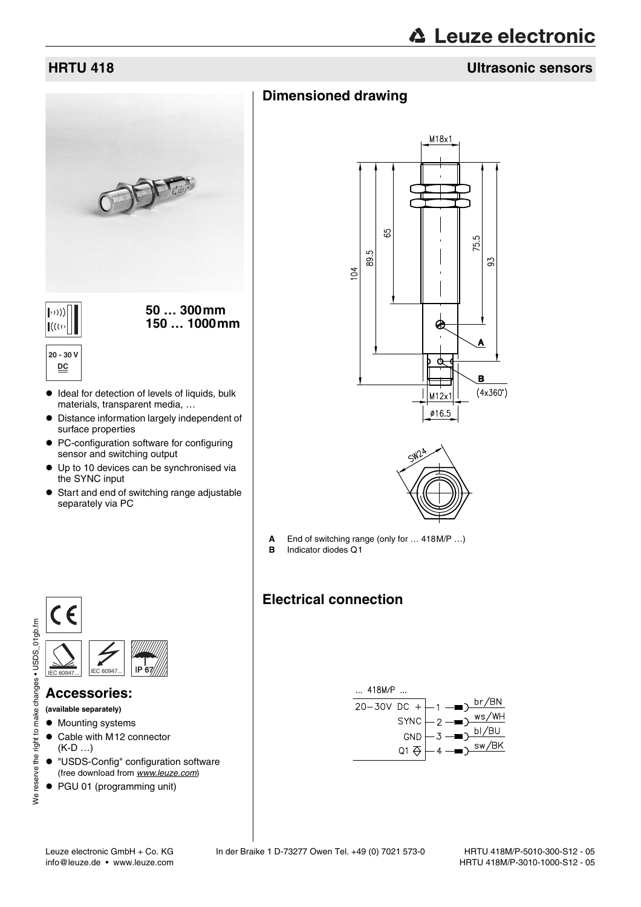# **△ Leuze electronic**

### **HRTU 418 Ultrasonic sensors**

# **Dimensioned drawing**



**20 - 30 V DC**

- $\bullet$  Ideal for detection of levels of liquids, bulk materials, transparent media, …
- $\bullet$  Distance information largely independent of surface properties
- PC-configuration software for configuring sensor and switching output
- $\bullet$  Up to 10 devices can be synchronised via the SYNC input
- Start and end of switching range adjustable separately via PC





- **A** End of switching range (only for … 418M/P …)
- **B** Indicator diodes Q1

### **Electrical connection**





### **Accessories:**

**(available separately)**

- Mounting systems
- Cable with M12 connector (K-D …)
- $\bullet$  "USDS-Config" configuration software (free download from www.leuze.com)
- PGU 01 (programming unit)